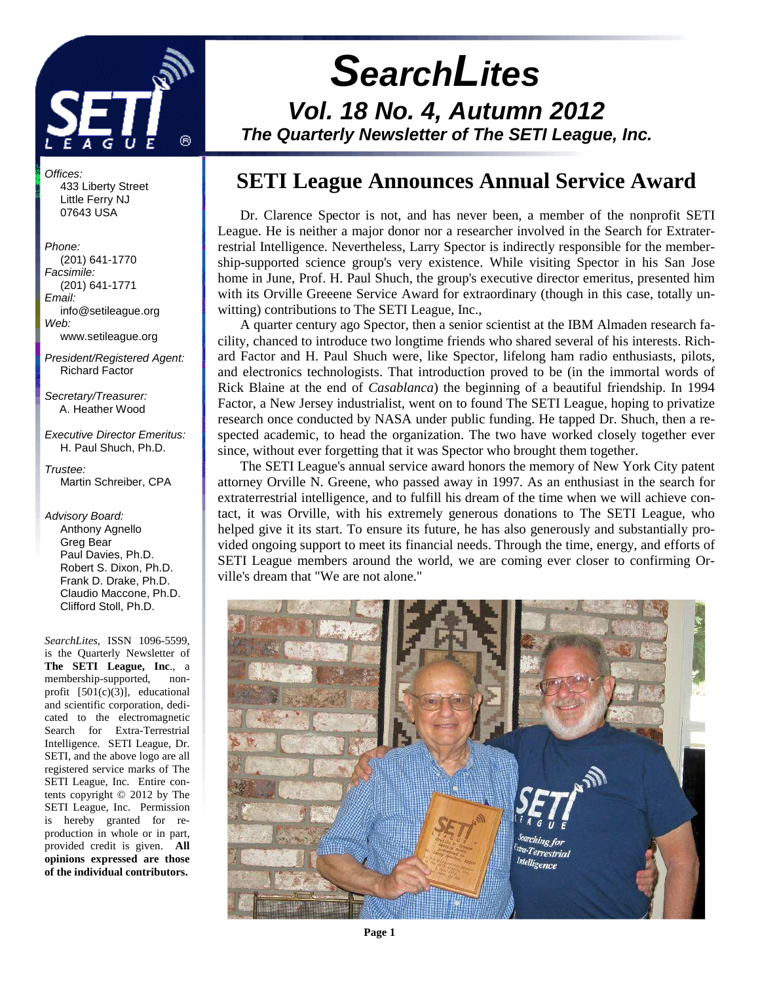

Offices: 433 Liberty Street Little Ferry NJ 07643 USA

Phone: (201) 641-1770 Facsimile: (201) 641-1771 Email: info@setileague.org Web: www.setileague.org

President/Registered Agent: Richard Factor

Secretary/Treasurer: A. Heather Wood

Executive Director Emeritus: H. Paul Shuch, Ph.D.

Trustee<sup>.</sup> Martin Schreiber, CPA

#### Advisory Board: Anthony Agnello Greg Bear Paul Davies, Ph.D. Robert S. Dixon, Ph.D. Frank D. Drake, Ph.D. Claudio Maccone, Ph.D. Clifford Stoll, Ph.D.

*SearchLites*, ISSN 1096-5599, is the Quarterly Newsletter of **The SETI League, Inc**., a membership-supported, nonprofit [501(c)(3)], educational and scientific corporation, dedicated to the electromagnetic Search for Extra-Terrestrial Intelligence. SETI League, Dr. SETI, and the above logo are all registered service marks of The SETI League, Inc. Entire contents copyright © 2012 by The SETI League, Inc. Permission is hereby granted for reproduction in whole or in part, provided credit is given. **All opinions expressed are those of the individual contributors.** 

# **SearchLites Vol. 18 No. 4, Autumn 2012 The Quarterly Newsletter of The SETI League, Inc.**

## **SETI League Announces Annual Service Award**

Dr. Clarence Spector is not, and has never been, a member of the nonprofit SETI League. He is neither a major donor nor a researcher involved in the Search for Extraterrestrial Intelligence. Nevertheless, Larry Spector is indirectly responsible for the membership-supported science group's very existence. While visiting Spector in his San Jose home in June, Prof. H. Paul Shuch, the group's executive director emeritus, presented him with its Orville Greeene Service Award for extraordinary (though in this case, totally unwitting) contributions to The SETI League, Inc.,

A quarter century ago Spector, then a senior scientist at the IBM Almaden research facility, chanced to introduce two longtime friends who shared several of his interests. Richard Factor and H. Paul Shuch were, like Spector, lifelong ham radio enthusiasts, pilots, and electronics technologists. That introduction proved to be (in the immortal words of Rick Blaine at the end of *Casablanca*) the beginning of a beautiful friendship. In 1994 Factor, a New Jersey industrialist, went on to found The SETI League, hoping to privatize research once conducted by NASA under public funding. He tapped Dr. Shuch, then a respected academic, to head the organization. The two have worked closely together ever since, without ever forgetting that it was Spector who brought them together.

The SETI League's annual service award honors the memory of New York City patent attorney Orville N. Greene, who passed away in 1997. As an enthusiast in the search for extraterrestrial intelligence, and to fulfill his dream of the time when we will achieve contact, it was Orville, with his extremely generous donations to The SETI League, who helped give it its start. To ensure its future, he has also generously and substantially provided ongoing support to meet its financial needs. Through the time, energy, and efforts of SETI League members around the world, we are coming ever closer to confirming Orville's dream that "We are not alone."

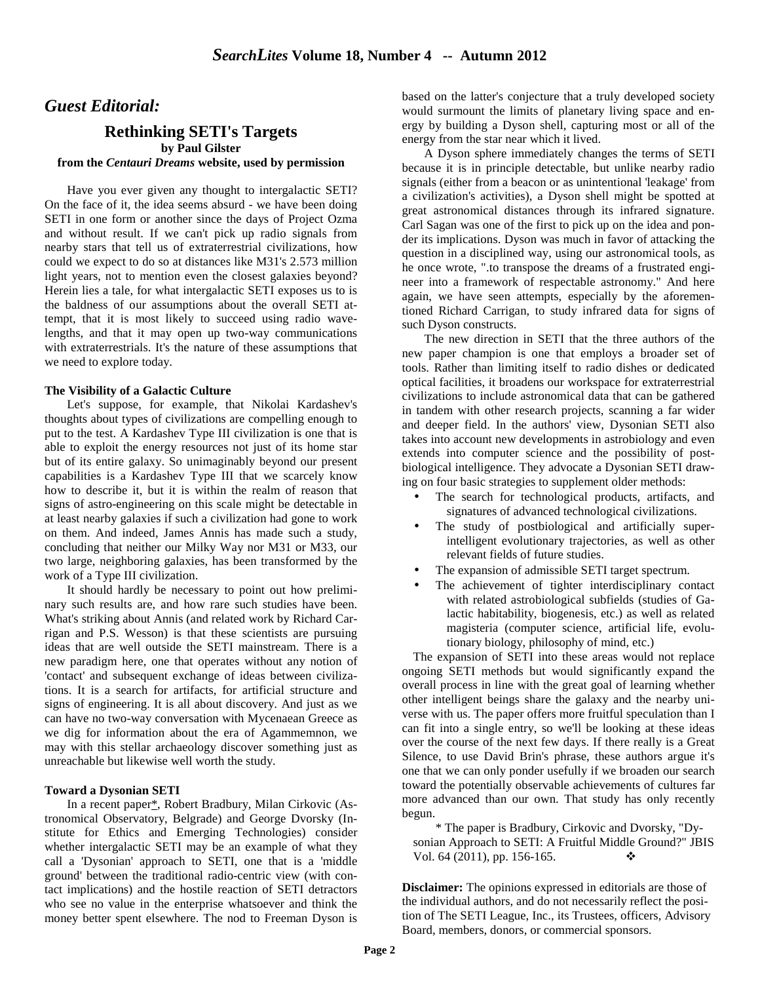### *Guest Editorial:*

### **Rethinking SETI's Targets by Paul Gilster**

#### **from the** *Centauri Dreams* **website, used by permission**

Have you ever given any thought to intergalactic SETI? On the face of it, the idea seems absurd - we have been doing SETI in one form or another since the days of Project Ozma and without result. If we can't pick up radio signals from nearby stars that tell us of extraterrestrial civilizations, how could we expect to do so at distances like M31's 2.573 million light years, not to mention even the closest galaxies beyond? Herein lies a tale, for what intergalactic SETI exposes us to is the baldness of our assumptions about the overall SETI attempt, that it is most likely to succeed using radio wavelengths, and that it may open up two-way communications with extraterrestrials. It's the nature of these assumptions that we need to explore today.

#### **The Visibility of a Galactic Culture**

Let's suppose, for example, that Nikolai Kardashev's thoughts about types of civilizations are compelling enough to put to the test. A Kardashev Type III civilization is one that is able to exploit the energy resources not just of its home star but of its entire galaxy. So unimaginably beyond our present capabilities is a Kardashev Type III that we scarcely know how to describe it, but it is within the realm of reason that signs of astro-engineering on this scale might be detectable in at least nearby galaxies if such a civilization had gone to work on them. And indeed, James Annis has made such a study, concluding that neither our Milky Way nor M31 or M33, our two large, neighboring galaxies, has been transformed by the work of a Type III civilization.

It should hardly be necessary to point out how preliminary such results are, and how rare such studies have been. What's striking about Annis (and related work by Richard Carrigan and P.S. Wesson) is that these scientists are pursuing ideas that are well outside the SETI mainstream. There is a new paradigm here, one that operates without any notion of 'contact' and subsequent exchange of ideas between civilizations. It is a search for artifacts, for artificial structure and signs of engineering. It is all about discovery. And just as we can have no two-way conversation with Mycenaean Greece as we dig for information about the era of Agammemnon, we may with this stellar archaeology discover something just as unreachable but likewise well worth the study.

#### **Toward a Dysonian SETI**

In a recent paper\*, Robert Bradbury, Milan Cirkovic (Astronomical Observatory, Belgrade) and George Dvorsky (Institute for Ethics and Emerging Technologies) consider whether intergalactic SETI may be an example of what they call a 'Dysonian' approach to SETI, one that is a 'middle ground' between the traditional radio-centric view (with contact implications) and the hostile reaction of SETI detractors who see no value in the enterprise whatsoever and think the money better spent elsewhere. The nod to Freeman Dyson is based on the latter's conjecture that a truly developed society would surmount the limits of planetary living space and energy by building a Dyson shell, capturing most or all of the energy from the star near which it lived.

A Dyson sphere immediately changes the terms of SETI because it is in principle detectable, but unlike nearby radio signals (either from a beacon or as unintentional 'leakage' from a civilization's activities), a Dyson shell might be spotted at great astronomical distances through its infrared signature. Carl Sagan was one of the first to pick up on the idea and ponder its implications. Dyson was much in favor of attacking the question in a disciplined way, using our astronomical tools, as he once wrote, ".to transpose the dreams of a frustrated engineer into a framework of respectable astronomy." And here again, we have seen attempts, especially by the aforementioned Richard Carrigan, to study infrared data for signs of such Dyson constructs.

The new direction in SETI that the three authors of the new paper champion is one that employs a broader set of tools. Rather than limiting itself to radio dishes or dedicated optical facilities, it broadens our workspace for extraterrestrial civilizations to include astronomical data that can be gathered in tandem with other research projects, scanning a far wider and deeper field. In the authors' view, Dysonian SETI also takes into account new developments in astrobiology and even extends into computer science and the possibility of postbiological intelligence. They advocate a Dysonian SETI drawing on four basic strategies to supplement older methods:

- The search for technological products, artifacts, and signatures of advanced technological civilizations.
- The study of postbiological and artificially superintelligent evolutionary trajectories, as well as other relevant fields of future studies.
- The expansion of admissible SETI target spectrum.
- The achievement of tighter interdisciplinary contact with related astrobiological subfields (studies of Galactic habitability, biogenesis, etc.) as well as related magisteria (computer science, artificial life, evolutionary biology, philosophy of mind, etc.)

The expansion of SETI into these areas would not replace ongoing SETI methods but would significantly expand the overall process in line with the great goal of learning whether other intelligent beings share the galaxy and the nearby universe with us. The paper offers more fruitful speculation than I can fit into a single entry, so we'll be looking at these ideas over the course of the next few days. If there really is a Great Silence, to use David Brin's phrase, these authors argue it's one that we can only ponder usefully if we broaden our search toward the potentially observable achievements of cultures far more advanced than our own. That study has only recently begun.

\* The paper is Bradbury, Cirkovic and Dvorsky, "Dysonian Approach to SETI: A Fruitful Middle Ground?" JBIS Vol. 64 (2011), pp. 156-165.

**Disclaimer:** The opinions expressed in editorials are those of the individual authors, and do not necessarily reflect the position of The SETI League, Inc., its Trustees, officers, Advisory Board, members, donors, or commercial sponsors.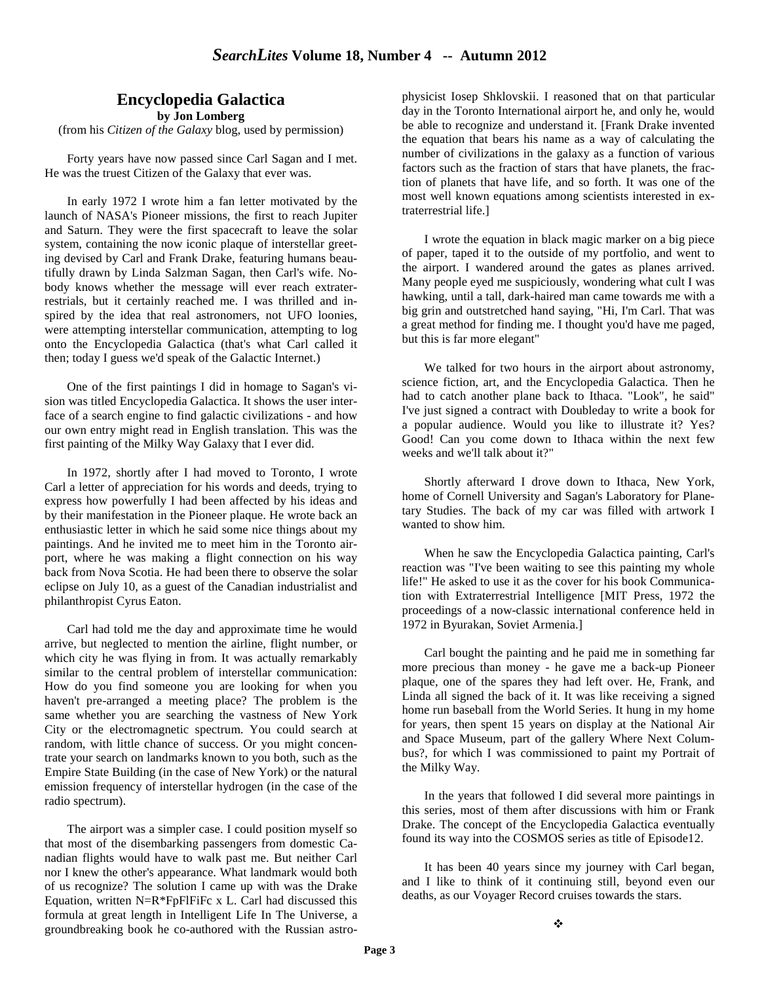## **Encyclopedia Galactica**

**by Jon Lomberg** (from his *Citizen of the Galaxy* blog, used by permission)

Forty years have now passed since Carl Sagan and I met. He was the truest Citizen of the Galaxy that ever was.

In early 1972 I wrote him a fan letter motivated by the launch of NASA's Pioneer missions, the first to reach Jupiter and Saturn. They were the first spacecraft to leave the solar system, containing the now iconic plaque of interstellar greeting devised by Carl and Frank Drake, featuring humans beautifully drawn by Linda Salzman Sagan, then Carl's wife. Nobody knows whether the message will ever reach extraterrestrials, but it certainly reached me. I was thrilled and inspired by the idea that real astronomers, not UFO loonies, were attempting interstellar communication, attempting to log onto the Encyclopedia Galactica (that's what Carl called it then; today I guess we'd speak of the Galactic Internet.)

One of the first paintings I did in homage to Sagan's vision was titled Encyclopedia Galactica. It shows the user interface of a search engine to find galactic civilizations - and how our own entry might read in English translation. This was the first painting of the Milky Way Galaxy that I ever did.

In 1972, shortly after I had moved to Toronto, I wrote Carl a letter of appreciation for his words and deeds, trying to express how powerfully I had been affected by his ideas and by their manifestation in the Pioneer plaque. He wrote back an enthusiastic letter in which he said some nice things about my paintings. And he invited me to meet him in the Toronto airport, where he was making a flight connection on his way back from Nova Scotia. He had been there to observe the solar eclipse on July 10, as a guest of the Canadian industrialist and philanthropist Cyrus Eaton.

Carl had told me the day and approximate time he would arrive, but neglected to mention the airline, flight number, or which city he was flying in from. It was actually remarkably similar to the central problem of interstellar communication: How do you find someone you are looking for when you haven't pre-arranged a meeting place? The problem is the same whether you are searching the vastness of New York City or the electromagnetic spectrum. You could search at random, with little chance of success. Or you might concentrate your search on landmarks known to you both, such as the Empire State Building (in the case of New York) or the natural emission frequency of interstellar hydrogen (in the case of the radio spectrum).

The airport was a simpler case. I could position myself so that most of the disembarking passengers from domestic Canadian flights would have to walk past me. But neither Carl nor I knew the other's appearance. What landmark would both of us recognize? The solution I came up with was the Drake Equation, written N=R\*FpFlFiFc x L. Carl had discussed this formula at great length in Intelligent Life In The Universe, a groundbreaking book he co-authored with the Russian astrophysicist Iosep Shklovskii. I reasoned that on that particular day in the Toronto International airport he, and only he, would be able to recognize and understand it. [Frank Drake invented the equation that bears his name as a way of calculating the number of civilizations in the galaxy as a function of various factors such as the fraction of stars that have planets, the fraction of planets that have life, and so forth. It was one of the most well known equations among scientists interested in extraterrestrial life.]

I wrote the equation in black magic marker on a big piece of paper, taped it to the outside of my portfolio, and went to the airport. I wandered around the gates as planes arrived. Many people eyed me suspiciously, wondering what cult I was hawking, until a tall, dark-haired man came towards me with a big grin and outstretched hand saying, "Hi, I'm Carl. That was a great method for finding me. I thought you'd have me paged, but this is far more elegant"

We talked for two hours in the airport about astronomy, science fiction, art, and the Encyclopedia Galactica. Then he had to catch another plane back to Ithaca. "Look", he said" I've just signed a contract with Doubleday to write a book for a popular audience. Would you like to illustrate it? Yes? Good! Can you come down to Ithaca within the next few weeks and we'll talk about it?"

Shortly afterward I drove down to Ithaca, New York, home of Cornell University and Sagan's Laboratory for Planetary Studies. The back of my car was filled with artwork I wanted to show him.

When he saw the Encyclopedia Galactica painting, Carl's reaction was "I've been waiting to see this painting my whole life!" He asked to use it as the cover for his book Communication with Extraterrestrial Intelligence [MIT Press, 1972 the proceedings of a now-classic international conference held in 1972 in Byurakan, Soviet Armenia.]

Carl bought the painting and he paid me in something far more precious than money - he gave me a back-up Pioneer plaque, one of the spares they had left over. He, Frank, and Linda all signed the back of it. It was like receiving a signed home run baseball from the World Series. It hung in my home for years, then spent 15 years on display at the National Air and Space Museum, part of the gallery Where Next Columbus?, for which I was commissioned to paint my Portrait of the Milky Way.

In the years that followed I did several more paintings in this series, most of them after discussions with him or Frank Drake. The concept of the Encyclopedia Galactica eventually found its way into the COSMOS series as title of Episode12.

It has been 40 years since my journey with Carl began, and I like to think of it continuing still, beyond even our deaths, as our Voyager Record cruises towards the stars.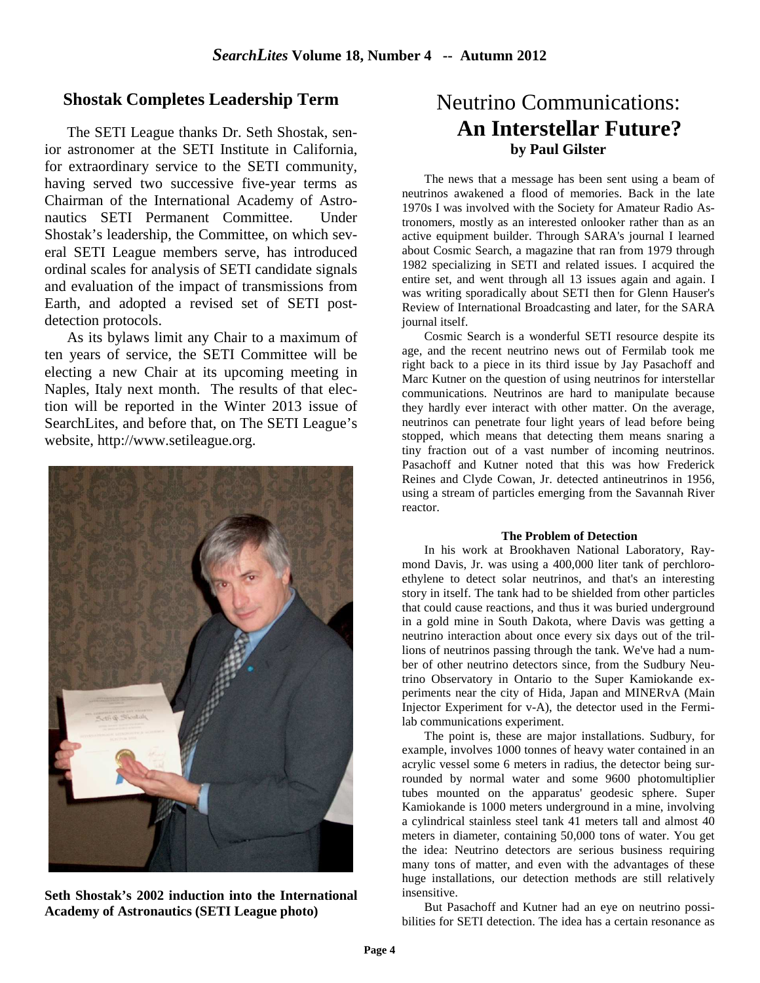## **Shostak Completes Leadership Term**

 The SETI League thanks Dr. Seth Shostak, senior astronomer at the SETI Institute in California, for extraordinary service to the SETI community, having served two successive five-year terms as Chairman of the International Academy of Astronautics SETI Permanent Committee. Under Shostak's leadership, the Committee, on which several SETI League members serve, has introduced ordinal scales for analysis of SETI candidate signals and evaluation of the impact of transmissions from Earth, and adopted a revised set of SETI postdetection protocols.

As its bylaws limit any Chair to a maximum of ten years of service, the SETI Committee will be electing a new Chair at its upcoming meeting in Naples, Italy next month. The results of that election will be reported in the Winter 2013 issue of SearchLites, and before that, on The SETI League's website, http://www.setileague.org.



**Seth Shostak's 2002 induction into the International Academy of Astronautics (SETI League photo)** 

## Neutrino Communications: **An Interstellar Future? by Paul Gilster**

The news that a message has been sent using a beam of neutrinos awakened a flood of memories. Back in the late 1970s I was involved with the Society for Amateur Radio Astronomers, mostly as an interested onlooker rather than as an active equipment builder. Through SARA's journal I learned about Cosmic Search, a magazine that ran from 1979 through 1982 specializing in SETI and related issues. I acquired the entire set, and went through all 13 issues again and again. I was writing sporadically about SETI then for Glenn Hauser's Review of International Broadcasting and later, for the SARA journal itself.

Cosmic Search is a wonderful SETI resource despite its age, and the recent neutrino news out of Fermilab took me right back to a piece in its third issue by Jay Pasachoff and Marc Kutner on the question of using neutrinos for interstellar communications. Neutrinos are hard to manipulate because they hardly ever interact with other matter. On the average, neutrinos can penetrate four light years of lead before being stopped, which means that detecting them means snaring a tiny fraction out of a vast number of incoming neutrinos. Pasachoff and Kutner noted that this was how Frederick Reines and Clyde Cowan, Jr. detected antineutrinos in 1956, using a stream of particles emerging from the Savannah River reactor.

#### **The Problem of Detection**

In his work at Brookhaven National Laboratory, Raymond Davis, Jr. was using a 400,000 liter tank of perchloroethylene to detect solar neutrinos, and that's an interesting story in itself. The tank had to be shielded from other particles that could cause reactions, and thus it was buried underground in a gold mine in South Dakota, where Davis was getting a neutrino interaction about once every six days out of the trillions of neutrinos passing through the tank. We've had a number of other neutrino detectors since, from the Sudbury Neutrino Observatory in Ontario to the Super Kamiokande experiments near the city of Hida, Japan and MINERvA (Main Injector Experiment for v-A), the detector used in the Fermilab communications experiment.

The point is, these are major installations. Sudbury, for example, involves 1000 tonnes of heavy water contained in an acrylic vessel some 6 meters in radius, the detector being surrounded by normal water and some 9600 photomultiplier tubes mounted on the apparatus' geodesic sphere. Super Kamiokande is 1000 meters underground in a mine, involving a cylindrical stainless steel tank 41 meters tall and almost 40 meters in diameter, containing 50,000 tons of water. You get the idea: Neutrino detectors are serious business requiring many tons of matter, and even with the advantages of these huge installations, our detection methods are still relatively insensitive.

But Pasachoff and Kutner had an eye on neutrino possibilities for SETI detection. The idea has a certain resonance as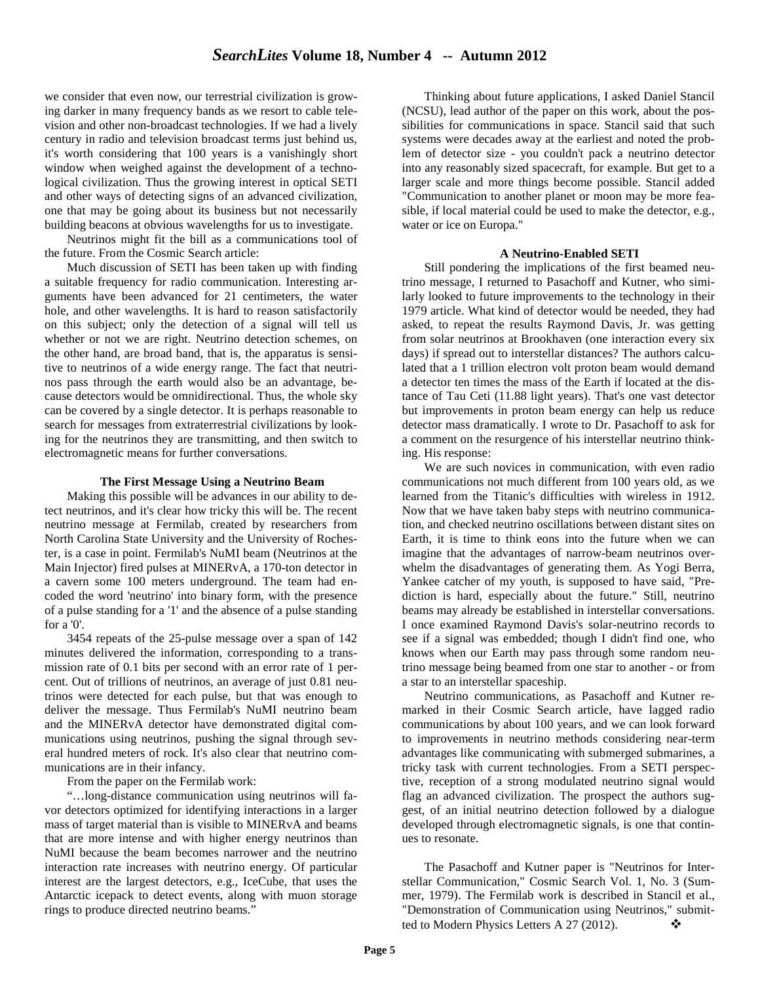we consider that even now, our terrestrial civilization is growing darker in many frequency bands as we resort to cable television and other non-broadcast technologies. If we had a lively century in radio and television broadcast terms just behind us, it's worth considering that 100 years is a vanishingly short window when weighed against the development of a technological civilization. Thus the growing interest in optical SETI and other ways of detecting signs of an advanced civilization, one that may be going about its business but not necessarily building beacons at obvious wavelengths for us to investigate.

Neutrinos might fit the bill as a communications tool of the future. From the Cosmic Search article:

Much discussion of SETI has been taken up with finding a suitable frequency for radio communication. Interesting arguments have been advanced for 21 centimeters, the water hole, and other wavelengths. It is hard to reason satisfactorily on this subject; only the detection of a signal will tell us whether or not we are right. Neutrino detection schemes, on the other hand, are broad band, that is, the apparatus is sensitive to neutrinos of a wide energy range. The fact that neutrinos pass through the earth would also be an advantage, because detectors would be omnidirectional. Thus, the whole sky can be covered by a single detector. It is perhaps reasonable to search for messages from extraterrestrial civilizations by looking for the neutrinos they are transmitting, and then switch to electromagnetic means for further conversations.

#### **The First Message Using a Neutrino Beam**

Making this possible will be advances in our ability to detect neutrinos, and it's clear how tricky this will be. The recent neutrino message at Fermilab, created by researchers from North Carolina State University and the University of Rochester, is a case in point. Fermilab's NuMI beam (Neutrinos at the Main Injector) fired pulses at MINERvA, a 170-ton detector in a cavern some 100 meters underground. The team had encoded the word 'neutrino' into binary form, with the presence of a pulse standing for a '1' and the absence of a pulse standing for a '0'.

3454 repeats of the 25-pulse message over a span of 142 minutes delivered the information, corresponding to a transmission rate of 0.1 bits per second with an error rate of 1 percent. Out of trillions of neutrinos, an average of just 0.81 neutrinos were detected for each pulse, but that was enough to deliver the message. Thus Fermilab's NuMI neutrino beam and the MINERvA detector have demonstrated digital communications using neutrinos, pushing the signal through several hundred meters of rock. It's also clear that neutrino communications are in their infancy.

From the paper on the Fermilab work:

"…long-distance communication using neutrinos will favor detectors optimized for identifying interactions in a larger mass of target material than is visible to MINERvA and beams that are more intense and with higher energy neutrinos than NuMI because the beam becomes narrower and the neutrino interaction rate increases with neutrino energy. Of particular interest are the largest detectors, e.g., IceCube, that uses the Antarctic icepack to detect events, along with muon storage rings to produce directed neutrino beams."

Thinking about future applications, I asked Daniel Stancil (NCSU), lead author of the paper on this work, about the possibilities for communications in space. Stancil said that such systems were decades away at the earliest and noted the problem of detector size - you couldn't pack a neutrino detector into any reasonably sized spacecraft, for example. But get to a larger scale and more things become possible. Stancil added "Communication to another planet or moon may be more feasible, if local material could be used to make the detector, e.g., water or ice on Europa."

#### **A Neutrino-Enabled SETI**

Still pondering the implications of the first beamed neutrino message, I returned to Pasachoff and Kutner, who similarly looked to future improvements to the technology in their 1979 article. What kind of detector would be needed, they had asked, to repeat the results Raymond Davis, Jr. was getting from solar neutrinos at Brookhaven (one interaction every six days) if spread out to interstellar distances? The authors calculated that a 1 trillion electron volt proton beam would demand a detector ten times the mass of the Earth if located at the distance of Tau Ceti (11.88 light years). That's one vast detector but improvements in proton beam energy can help us reduce detector mass dramatically. I wrote to Dr. Pasachoff to ask for a comment on the resurgence of his interstellar neutrino thinking. His response:

We are such novices in communication, with even radio communications not much different from 100 years old, as we learned from the Titanic's difficulties with wireless in 1912. Now that we have taken baby steps with neutrino communication, and checked neutrino oscillations between distant sites on Earth, it is time to think eons into the future when we can imagine that the advantages of narrow-beam neutrinos overwhelm the disadvantages of generating them. As Yogi Berra, Yankee catcher of my youth, is supposed to have said, "Prediction is hard, especially about the future." Still, neutrino beams may already be established in interstellar conversations. I once examined Raymond Davis's solar-neutrino records to see if a signal was embedded; though I didn't find one, who knows when our Earth may pass through some random neutrino message being beamed from one star to another - or from a star to an interstellar spaceship.

Neutrino communications, as Pasachoff and Kutner remarked in their Cosmic Search article, have lagged radio communications by about 100 years, and we can look forward to improvements in neutrino methods considering near-term advantages like communicating with submerged submarines, a tricky task with current technologies. From a SETI perspective, reception of a strong modulated neutrino signal would flag an advanced civilization. The prospect the authors suggest, of an initial neutrino detection followed by a dialogue developed through electromagnetic signals, is one that continues to resonate.

The Pasachoff and Kutner paper is "Neutrinos for Interstellar Communication," Cosmic Search Vol. 1, No. 3 (Summer, 1979). The Fermilab work is described in Stancil et al., "Demonstration of Communication using Neutrinos," submitted to Modern Physics Letters A 27 (2012).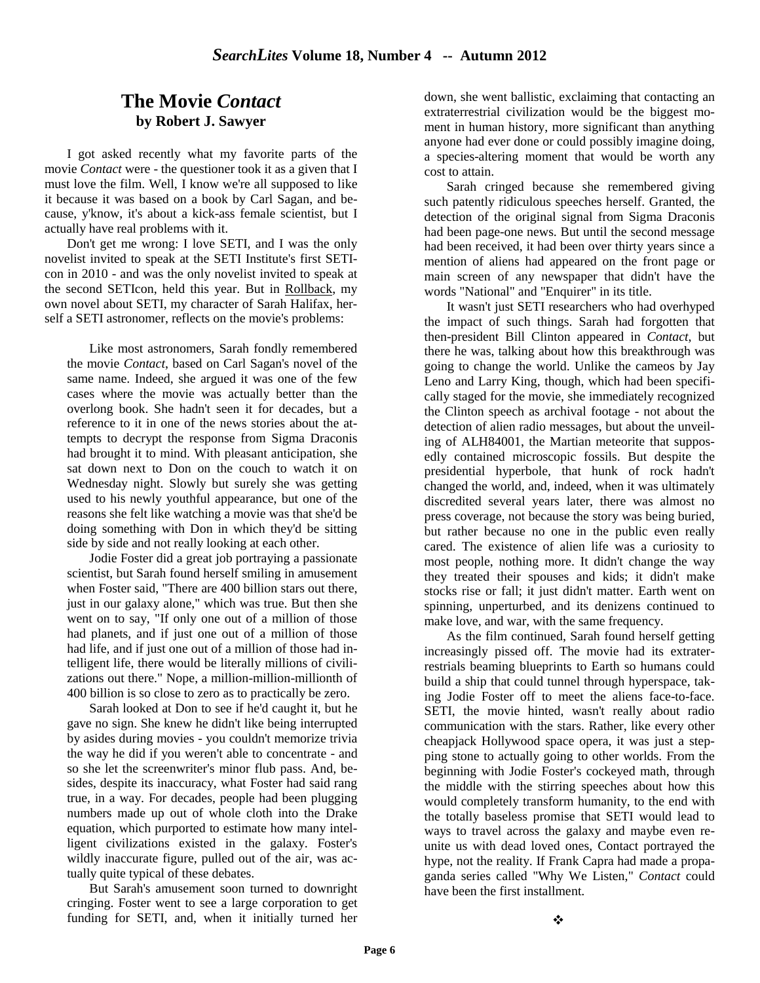## **The Movie** *Contact* **by Robert J. Sawyer**

I got asked recently what my favorite parts of the movie *Contact* were - the questioner took it as a given that I must love the film. Well, I know we're all supposed to like it because it was based on a book by Carl Sagan, and because, y'know, it's about a kick-ass female scientist, but I actually have real problems with it.

Don't get me wrong: I love SETI, and I was the only novelist invited to speak at the SETI Institute's first SETIcon in 2010 - and was the only novelist invited to speak at the second SETIcon, held this year. But in Rollback, my own novel about SETI, my character of Sarah Halifax, herself a SETI astronomer, reflects on the movie's problems:

Like most astronomers, Sarah fondly remembered the movie *Contact*, based on Carl Sagan's novel of the same name. Indeed, she argued it was one of the few cases where the movie was actually better than the overlong book. She hadn't seen it for decades, but a reference to it in one of the news stories about the attempts to decrypt the response from Sigma Draconis had brought it to mind. With pleasant anticipation, she sat down next to Don on the couch to watch it on Wednesday night. Slowly but surely she was getting used to his newly youthful appearance, but one of the reasons she felt like watching a movie was that she'd be doing something with Don in which they'd be sitting side by side and not really looking at each other.

Jodie Foster did a great job portraying a passionate scientist, but Sarah found herself smiling in amusement when Foster said, "There are 400 billion stars out there, just in our galaxy alone," which was true. But then she went on to say, "If only one out of a million of those had planets, and if just one out of a million of those had life, and if just one out of a million of those had intelligent life, there would be literally millions of civilizations out there." Nope, a million-million-millionth of 400 billion is so close to zero as to practically be zero.

Sarah looked at Don to see if he'd caught it, but he gave no sign. She knew he didn't like being interrupted by asides during movies - you couldn't memorize trivia the way he did if you weren't able to concentrate - and so she let the screenwriter's minor flub pass. And, besides, despite its inaccuracy, what Foster had said rang true, in a way. For decades, people had been plugging numbers made up out of whole cloth into the Drake equation, which purported to estimate how many intelligent civilizations existed in the galaxy. Foster's wildly inaccurate figure, pulled out of the air, was actually quite typical of these debates.

But Sarah's amusement soon turned to downright cringing. Foster went to see a large corporation to get funding for SETI, and, when it initially turned her down, she went ballistic, exclaiming that contacting an extraterrestrial civilization would be the biggest moment in human history, more significant than anything anyone had ever done or could possibly imagine doing, a species-altering moment that would be worth any cost to attain.

Sarah cringed because she remembered giving such patently ridiculous speeches herself. Granted, the detection of the original signal from Sigma Draconis had been page-one news. But until the second message had been received, it had been over thirty years since a mention of aliens had appeared on the front page or main screen of any newspaper that didn't have the words "National" and "Enquirer" in its title.

It wasn't just SETI researchers who had overhyped the impact of such things. Sarah had forgotten that then-president Bill Clinton appeared in *Contact*, but there he was, talking about how this breakthrough was going to change the world. Unlike the cameos by Jay Leno and Larry King, though, which had been specifically staged for the movie, she immediately recognized the Clinton speech as archival footage - not about the detection of alien radio messages, but about the unveiling of ALH84001, the Martian meteorite that supposedly contained microscopic fossils. But despite the presidential hyperbole, that hunk of rock hadn't changed the world, and, indeed, when it was ultimately discredited several years later, there was almost no press coverage, not because the story was being buried, but rather because no one in the public even really cared. The existence of alien life was a curiosity to most people, nothing more. It didn't change the way they treated their spouses and kids; it didn't make stocks rise or fall; it just didn't matter. Earth went on spinning, unperturbed, and its denizens continued to make love, and war, with the same frequency.

As the film continued, Sarah found herself getting increasingly pissed off. The movie had its extraterrestrials beaming blueprints to Earth so humans could build a ship that could tunnel through hyperspace, taking Jodie Foster off to meet the aliens face-to-face. SETI, the movie hinted, wasn't really about radio communication with the stars. Rather, like every other cheapjack Hollywood space opera, it was just a stepping stone to actually going to other worlds. From the beginning with Jodie Foster's cockeyed math, through the middle with the stirring speeches about how this would completely transform humanity, to the end with the totally baseless promise that SETI would lead to ways to travel across the galaxy and maybe even reunite us with dead loved ones, Contact portrayed the hype, not the reality. If Frank Capra had made a propaganda series called "Why We Listen," *Contact* could have been the first installment.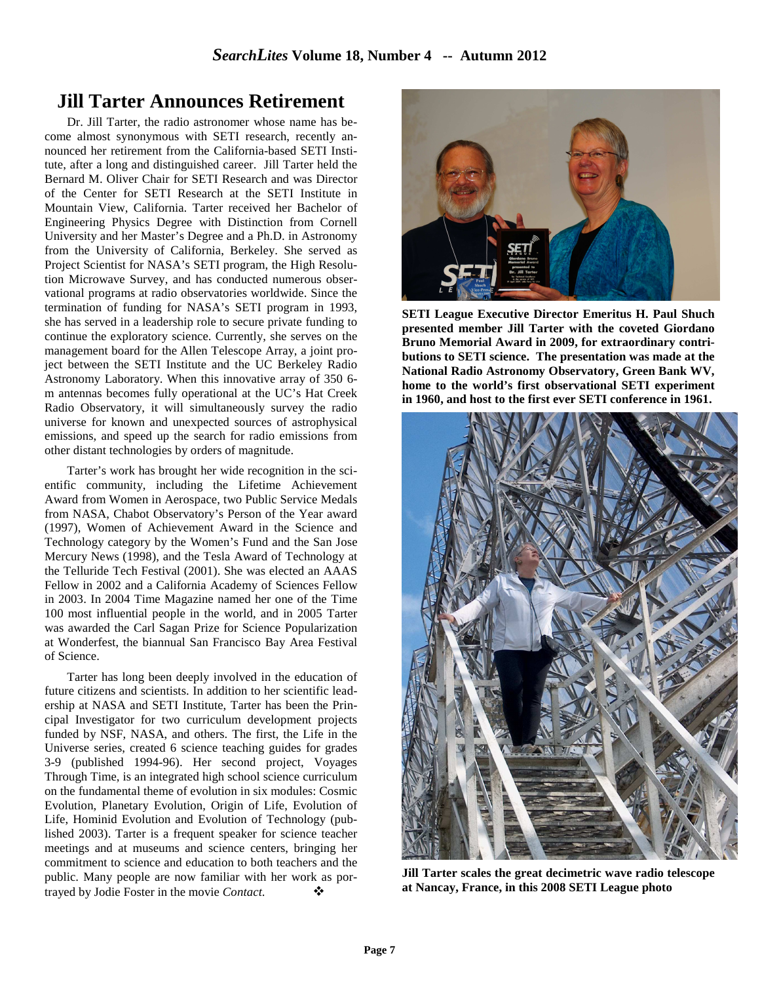## **Jill Tarter Announces Retirement**

Dr. Jill Tarter, the radio astronomer whose name has become almost synonymous with SETI research, recently announced her retirement from the California-based SETI Institute, after a long and distinguished career. Jill Tarter held the Bernard M. Oliver Chair for SETI Research and was Director of the Center for SETI Research at the SETI Institute in Mountain View, California. Tarter received her Bachelor of Engineering Physics Degree with Distinction from Cornell University and her Master's Degree and a Ph.D. in Astronomy from the University of California, Berkeley. She served as Project Scientist for NASA's SETI program, the High Resolution Microwave Survey, and has conducted numerous observational programs at radio observatories worldwide. Since the termination of funding for NASA's SETI program in 1993, she has served in a leadership role to secure private funding to continue the exploratory science. Currently, she serves on the management board for the Allen Telescope Array, a joint project between the SETI Institute and the UC Berkeley Radio Astronomy Laboratory. When this innovative array of 350 6 m antennas becomes fully operational at the UC's Hat Creek Radio Observatory, it will simultaneously survey the radio universe for known and unexpected sources of astrophysical emissions, and speed up the search for radio emissions from other distant technologies by orders of magnitude.

Tarter's work has brought her wide recognition in the scientific community, including the Lifetime Achievement Award from Women in Aerospace, two Public Service Medals from NASA, Chabot Observatory's Person of the Year award (1997), Women of Achievement Award in the Science and Technology category by the Women's Fund and the San Jose Mercury News (1998), and the Tesla Award of Technology at the Telluride Tech Festival (2001). She was elected an AAAS Fellow in 2002 and a California Academy of Sciences Fellow in 2003. In 2004 Time Magazine named her one of the Time 100 most influential people in the world, and in 2005 Tarter was awarded the Carl Sagan Prize for Science Popularization at Wonderfest, the biannual San Francisco Bay Area Festival of Science.

Tarter has long been deeply involved in the education of future citizens and scientists. In addition to her scientific leadership at NASA and SETI Institute, Tarter has been the Principal Investigator for two curriculum development projects funded by NSF, NASA, and others. The first, the Life in the Universe series, created 6 science teaching guides for grades 3-9 (published 1994-96). Her second project, Voyages Through Time, is an integrated high school science curriculum on the fundamental theme of evolution in six modules: Cosmic Evolution, Planetary Evolution, Origin of Life, Evolution of Life, Hominid Evolution and Evolution of Technology (published 2003). Tarter is a frequent speaker for science teacher meetings and at museums and science centers, bringing her commitment to science and education to both teachers and the public. Many people are now familiar with her work as portrayed by Jodie Foster in the movie *Contact*. -



**SETI League Executive Director Emeritus H. Paul Shuch presented member Jill Tarter with the coveted Giordano Bruno Memorial Award in 2009, for extraordinary contributions to SETI science. The presentation was made at the National Radio Astronomy Observatory, Green Bank WV, home to the world's first observational SETI experiment in 1960, and host to the first ever SETI conference in 1961.** 



**Jill Tarter scales the great decimetric wave radio telescope at Nancay, France, in this 2008 SETI League photo**